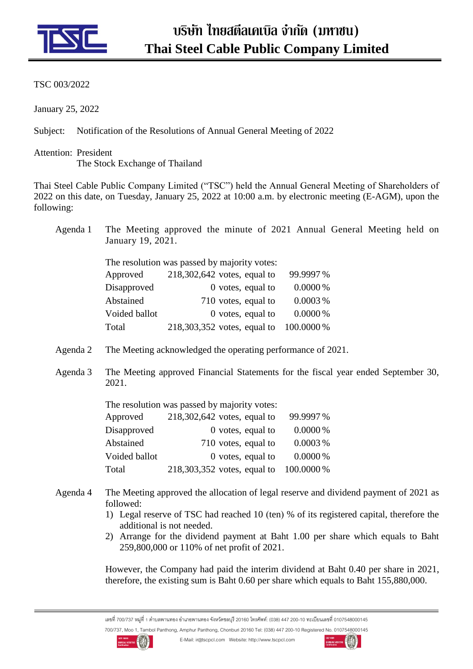

## TSC 003/2022

January 25, 2022

Subject: Notification of the Resolutions of Annual General Meeting of 2022

Attention: President The Stock Exchange of Thailand

Thai Steel Cable Public Company Limited ("TSC") held the Annual General Meeting of Shareholders of 2022 on this date, on Tuesday, January 25, 2022 at 10:00 a.m. by electronic meeting (E-AGM), upon the following:

Agenda 1 The Meeting approved the minute of 2021 Annual General Meeting held on January 19, 2021.

| The resolution was passed by majority votes: |  |                             |            |  |
|----------------------------------------------|--|-----------------------------|------------|--|
| Approved                                     |  | 218,302,642 votes, equal to | 99.9997%   |  |
| Disapproved                                  |  | 0 votes, equal to           | $0.0000\%$ |  |
| Abstained                                    |  | 710 votes, equal to         | 0.0003%    |  |
| Voided ballot                                |  | 0 votes, equal to           | $0.0000\%$ |  |
| Total                                        |  | 218,303,352 votes, equal to | 100.0000 % |  |

- Agenda 2 The Meeting acknowledged the operating performance of 2021.
- Agenda 3 The Meeting approved Financial Statements for the fiscal year ended September 30, 2021.

| The resolution was passed by majority votes: |  |                                                                                                                               |  |  |
|----------------------------------------------|--|-------------------------------------------------------------------------------------------------------------------------------|--|--|
|                                              |  | 99.9997%                                                                                                                      |  |  |
|                                              |  | $0.0000\%$                                                                                                                    |  |  |
|                                              |  | 0.0003%                                                                                                                       |  |  |
|                                              |  | $0.0000\%$                                                                                                                    |  |  |
|                                              |  | 100.0000 %                                                                                                                    |  |  |
|                                              |  | 218,302,642 votes, equal to<br>$0$ votes, equal to<br>710 votes, equal to<br>0 votes, equal to<br>218,303,352 votes, equal to |  |  |

- Agenda 4 The Meeting approved the allocation of legal reserve and dividend payment of 2021 as followed:
	- 1) Legal reserve of TSC had reached 10 (ten) % of its registered capital, therefore the additional is not needed.
	- 2) Arrange for the dividend payment at Baht 1.00 per share which equals to Baht 259,800,000 or 110% of net profit of 2021.

However, the Company had paid the interim dividend at Baht 0.40 per share in 2021, therefore, the existing sum is Baht 0.60 per share which equals to Baht 155,880,000.

เลขที่ 700/737 หมู่ที่ 1 ตำบลพานทอง อำเภอพานทอง จังหวัดชลบุรี 20160 โทรศัพท์: (038) 447 200-10 ทะเบียนเลขที่ 0107548000145 700/737, Moo 1, Tambol Panthong, Amphur Panthong, Chonburi 20160 Tel: (038) 447 200-10 Registered No. 0107548000145



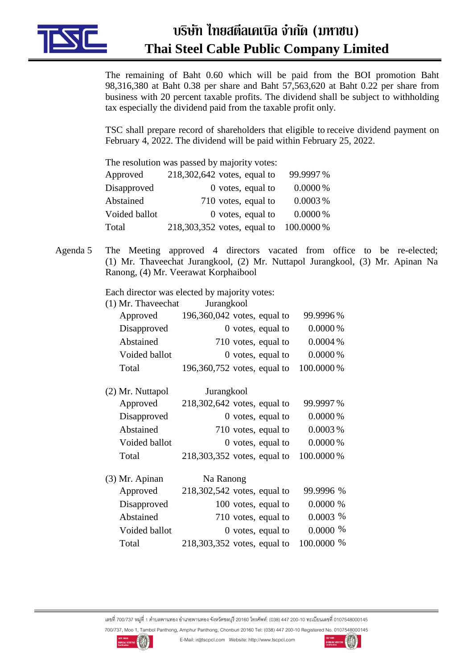

## **บริษัท ไทยสตีลเคเบิล จ ำกัด (มหำชน) Thai Steel Cable Public Company Limited**

The remaining of Baht 0.60 which will be paid from the BOI promotion Baht 98,316,380 at Baht 0.38 per share and Baht 57,563,620 at Baht 0.22 per share from business with 20 percent taxable profits. The dividend shall be subject to withholding tax especially the dividend paid from the taxable profit only.

TSC shall prepare record of shareholders that eligible to receive dividend payment on February 4, 2022. The dividend will be paid within February 25, 2022.

| The resolution was passed by majority votes: |  |                               |            |  |
|----------------------------------------------|--|-------------------------------|------------|--|
| Approved                                     |  | $218,302,642$ votes, equal to | 99.9997%   |  |
| Disapproved                                  |  | $0$ votes, equal to           | $0.0000\%$ |  |
| Abstained                                    |  | 710 votes, equal to           | 0.0003%    |  |
| Voided ballot                                |  | $0$ votes, equal to           | $0.0000\%$ |  |
| Total                                        |  | 218,303,352 votes, equal to   | 100.0000 % |  |

Agenda 5 The Meeting approved 4 directors vacated from office to be re-elected; (1) Mr. Thaveechat Jurangkool, (2) Mr. Nuttapol Jurangkool, (3) Mr. Apinan Na Ranong, (4) Mr. Veerawat Korphaibool

Each director was elected by majority votes:

| (1) Mr. Thaveechat | Jurangkool |
|--------------------|------------|
|--------------------|------------|

| $196,360,042$ votes, equal to | 99.9996%   |
|-------------------------------|------------|
| $0$ votes, equal to           | $0.0000\%$ |
| 710 votes, equal to           | $0.0004\%$ |
| $0$ votes, equal to           | $0.0000\%$ |
| 196,360,752 votes, equal to   | 100.0000 % |
|                               |            |

| (2) Mr. Nuttapol | Jurangkool                    |            |
|------------------|-------------------------------|------------|
| Approved         | $218,302,642$ votes, equal to | 99.9997%   |
| Disapproved      | $0$ votes, equal to           | 0.0000%    |
| Abstained        | 710 votes, equal to           | 0.0003%    |
| Voided ballot    | $0$ votes, equal to           | $0.0000\%$ |
| Total            | 218,303,352 votes, equal to   | 100.0000%  |
|                  |                               |            |

| (3) Mr. Apinan | Na Ranong                   |            |
|----------------|-----------------------------|------------|
| Approved       | 218,302,542 votes, equal to | 99.9996 %  |
| Disapproved    | 100 votes, equal to         | $0.0000\%$ |
| Abstained      | 710 votes, equal to         | 0.0003~%   |
| Voided ballot  | 0 votes, equal to           | $0.0000\%$ |
| Total          | 218,303,352 votes, equal to | 100,0000 % |
|                |                             |            |

เลขที่ 700/737 หมู่ที่ 1 ตำบลพานทอง อำเภอพานทอง จังหวัดชลบุรี 20160 โทรศัพท์: (038) 447 200-10 ทะเบียนเลขที่ 0107548000145 700/737, Moo 1, Tambol Panthong, Amphur Panthong, Chonburi 20160 Tel: (038) 447 200-10 Registered No. 0107548000145



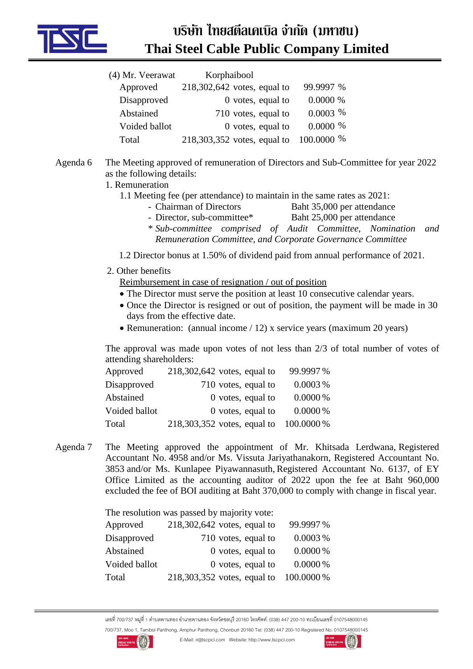

## **บริษัท ไทยสตีลเคเบิล จ ำกัด (มหำชน) Thai Steel Cable Public Company Limited**

| (4) Mr. Veerawat | Korphaibool                   |            |
|------------------|-------------------------------|------------|
| Approved         | $218,302,642$ votes, equal to | 99.9997 %  |
| Disapproved      | $0$ votes, equal to           | $0.0000\%$ |
| Abstained        | 710 votes, equal to           | $0.0003$ % |
| Voided ballot    | $0$ votes, equal to           | $0.0000\%$ |
| Total            | 218,303,352 votes, equal to   | 100.0000 % |

- Agenda 6 The Meeting approved of remuneration of Directors and Sub-Committee for year 2022 as the following details:
	- 1. Remuneration
		- 1.1 Meeting fee (per attendance) to maintain in the same rates as 2021:
			- Chairman of Directors Baht 35,000 per attendance
			- Director, sub-committee\* Baht 25,000 per attendance
			- \* *Sub-committee comprised of Audit Committee, Nomination and Remuneration Committee, and Corporate Governance Committee*
		- 1.2 Director bonus at 1.50% of dividend paid from annual performance of 2021.
	- 2. Other benefits

Reimbursement in case of resignation / out of position

- The Director must serve the position at least 10 consecutive calendar years.
- Once the Director is resigned or out of position, the payment will be made in 30 days from the effective date.
- Remuneration: (annual income / 12) x service years (maximum 20 years)

The approval was made upon votes of not less than 2/3 of total number of votes of attending shareholders:

| Approved      | $218,302,642$ votes, equal to | 99.9997%   |
|---------------|-------------------------------|------------|
| Disapproved   | 710 votes, equal to           | 0.0003%    |
| Abstained     | $0$ votes, equal to           | $0.0000\%$ |
| Voided ballot | $0$ votes, equal to           | $0.0000\%$ |
| Total         | 218,303,352 votes, equal to   | 100.0000 % |

Agenda 7 The Meeting approved the appointment of Mr. Khitsada Lerdwana, Registered Accountant No. 4958 and/or Ms. Vissuta Jariyathanakorn, Registered Accountant No. 3853 and/or Ms. Kunlapee Piyawannasuth, Registered Accountant No. 6137, of EY Office Limited as the accounting auditor of 2022 upon the fee at Baht 960,000 excluded the fee of BOI auditing at Baht 370,000 to comply with change in fiscal year.

The resolution was passed by majority vote:

| Approved      | $218,302,642$ votes, equal to | 99.9997%   |
|---------------|-------------------------------|------------|
| Disapproved   | 710 votes, equal to           | 0.0003%    |
| Abstained     | $0$ votes, equal to           | $0.0000\%$ |
| Voided ballot | $0$ votes, equal to           | $0.0000\%$ |
| Total         | 218,303,352 votes, equal to   | 100.0000 % |

เลขที่ 700/737 หมู่ที่ 1 ตำบลพานทอง อำเภอพานทอง จังหวัดชลบุรี 20160 โทรศัพท์: (038) 447 200-10 ทะเบียนเลขที่ 0107548000145 700/737, Moo 1, Tambol Panthong, Amphur Panthong, Chonburi 20160 Tel: (038) 447 200-10 Registered No. 0107548000145